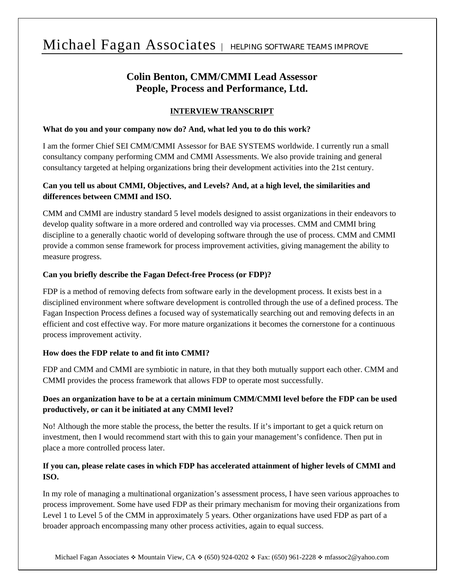# Michael Fagan Associates | HELPING SOFTWARE TEAMS IMPROVE

# **Colin Benton, CMM/CMMI Lead Assessor People, Process and Performance, Ltd.**

# **INTERVIEW TRANSCRIPT**

#### **What do you and your company now do? And, what led you to do this work?**

I am the former Chief SEI CMM/CMMI Assessor for BAE SYSTEMS worldwide. I currently run a small consultancy company performing CMM and CMMI Assessments. We also provide training and general consultancy targeted at helping organizations bring their development activities into the 21st century.

# **Can you tell us about CMMI, Objectives, and Levels? And, at a high level, the similarities and differences between CMMI and ISO.**

CMM and CMMI are industry standard 5 level models designed to assist organizations in their endeavors to develop quality software in a more ordered and controlled way via processes. CMM and CMMI bring discipline to a generally chaotic world of developing software through the use of process. CMM and CMMI provide a common sense framework for process improvement activities, giving management the ability to measure progress.

#### **Can you briefly describe the Fagan Defect-free Process (or FDP)?**

FDP is a method of removing defects from software early in the development process. It exists best in a disciplined environment where software development is controlled through the use of a defined process. The Fagan Inspection Process defines a focused way of systematically searching out and removing defects in an efficient and cost effective way. For more mature organizations it becomes the cornerstone for a continuous process improvement activity.

## **How does the FDP relate to and fit into CMMI?**

FDP and CMM and CMMI are symbiotic in nature, in that they both mutually support each other. CMM and CMMI provides the process framework that allows FDP to operate most successfully.

## **Does an organization have to be at a certain minimum CMM/CMMI level before the FDP can be used productively, or can it be initiated at any CMMI level?**

No! Although the more stable the process, the better the results. If it's important to get a quick return on investment, then I would recommend start with this to gain your management's confidence. Then put in place a more controlled process later.

## **If you can, please relate cases in which FDP has accelerated attainment of higher levels of CMMI and ISO.**

In my role of managing a multinational organization's assessment process, I have seen various approaches to process improvement. Some have used FDP as their primary mechanism for moving their organizations from Level 1 to Level 5 of the CMM in approximately 5 years. Other organizations have used FDP as part of a broader approach encompassing many other process activities, again to equal success.